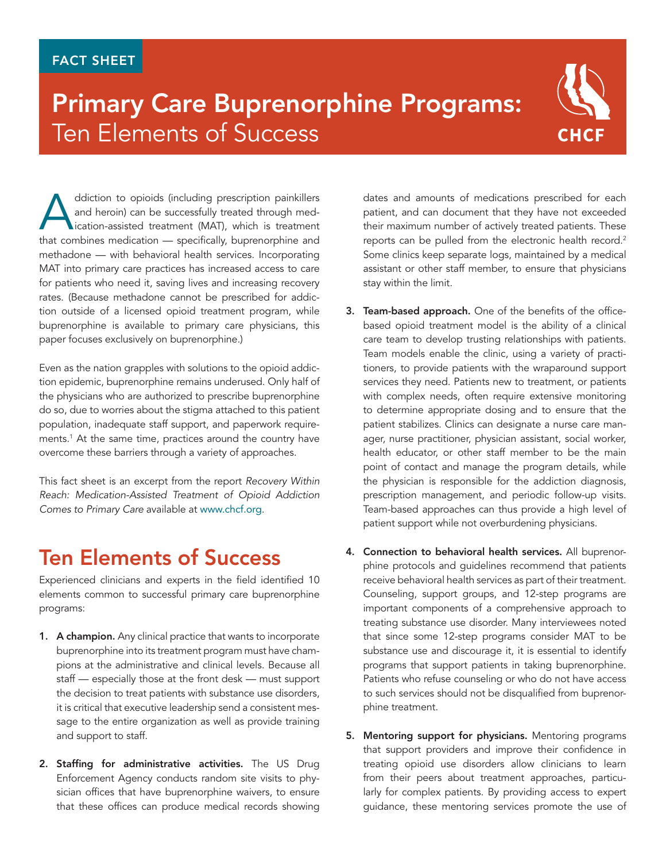## FACT SHEET

## Primary Care Buprenorphine Programs: Ten Elements of Success



ddiction to opioids (including prescription painkillers<br>and heroin) can be successfully treated through med-<br>ication-assisted treatment (MAT), which is treatment<br>that combines medication — specifically burrenorphine and and heroin) can be successfully treated through medication-assisted treatment (MAT), which is treatment that combines medication — specifically, buprenorphine and methadone — with behavioral health services. Incorporating MAT into primary care practices has increased access to care for patients who need it, saving lives and increasing recovery rates. (Because methadone cannot be prescribed for addiction outside of a licensed opioid treatment program, while buprenorphine is available to primary care physicians, this paper focuses exclusively on buprenorphine.)

Even as the nation grapples with solutions to the opioid addiction epidemic, buprenorphine remains underused. Only half of the physicians who are authorized to prescribe buprenorphine do so, due to worries about the stigma attached to this patient population, inadequate staff support, and paperwork requirements.1 At the same time, practices around the country have overcome these barriers through a variety of approaches.

This fact sheet is an excerpt from the report *Recovery Within Reach: Medication-Assisted Treatment of Opioid Addiction Comes to Primary Care* available at [www.chcf.org](http://www.chcf.org/MAT-opioid-addiction).

## Ten Elements of Success

Experienced clinicians and experts in the field identified 10 elements common to successful primary care buprenorphine programs:

- 1. A champion. Any clinical practice that wants to incorporate buprenorphine into its treatment program must have champions at the administrative and clinical levels. Because all staff — especially those at the front desk — must support the decision to treat patients with substance use disorders, it is critical that executive leadership send a consistent message to the entire organization as well as provide training and support to staff.
- 2. Staffing for administrative activities. The US Drug Enforcement Agency conducts random site visits to physician offices that have buprenorphine waivers, to ensure that these offices can produce medical records showing

dates and amounts of medications prescribed for each patient, and can document that they have not exceeded their maximum number of actively treated patients. These reports can be pulled from the electronic health record.<sup>2</sup> Some clinics keep separate logs, maintained by a medical assistant or other staff member, to ensure that physicians stay within the limit.

- 3. Team-based approach. One of the benefits of the officebased opioid treatment model is the ability of a clinical care team to develop trusting relationships with patients. Team models enable the clinic, using a variety of practitioners, to provide patients with the wraparound support services they need. Patients new to treatment, or patients with complex needs, often require extensive monitoring to determine appropriate dosing and to ensure that the patient stabilizes. Clinics can designate a nurse care manager, nurse practitioner, physician assistant, social worker, health educator, or other staff member to be the main point of contact and manage the program details, while the physician is responsible for the addiction diagnosis, prescription management, and periodic follow-up visits. Team-based approaches can thus provide a high level of patient support while not overburdening physicians.
- 4. Connection to behavioral health services. All buprenorphine protocols and guidelines recommend that patients receive behavioral health services as part of their treatment. Counseling, support groups, and 12-step programs are important components of a comprehensive approach to treating substance use disorder. Many interviewees noted that since some 12-step programs consider MAT to be substance use and discourage it, it is essential to identify programs that support patients in taking buprenorphine. Patients who refuse counseling or who do not have access to such services should not be disqualified from buprenorphine treatment.
- 5. Mentoring support for physicians. Mentoring programs that support providers and improve their confidence in treating opioid use disorders allow clinicians to learn from their peers about treatment approaches, particularly for complex patients. By providing access to expert guidance, these mentoring services promote the use of